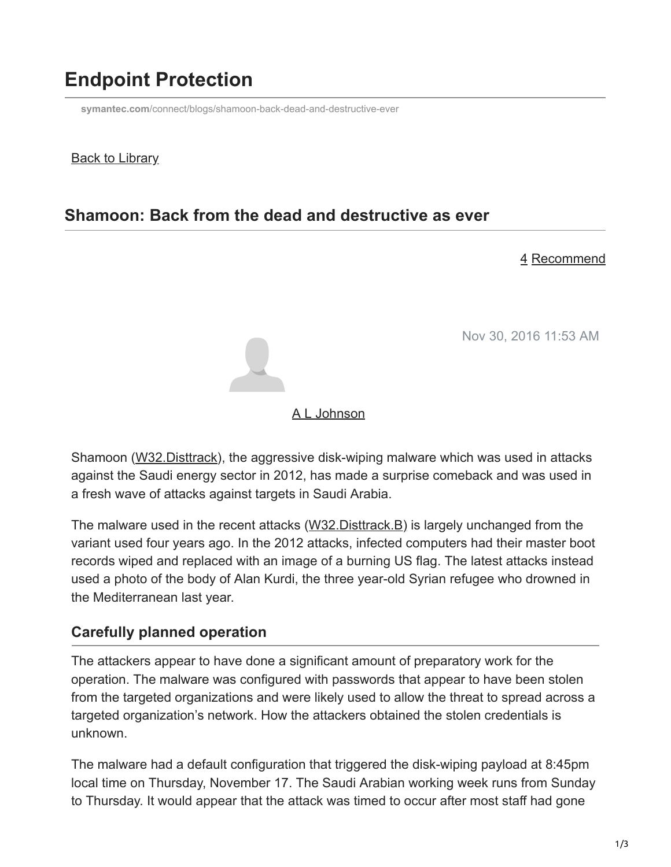# **Endpoint Protection**

**symantec.com**[/connect/blogs/shamoon-back-dead-and-destructive-ever](https://www.symantec.com/connect/blogs/shamoon-back-dead-and-destructive-ever)

#### **Back to Library**

## **Shamoon: Back from the dead and destructive as ever**

#### 4 Recommend

Nov 30, 2016 11:53 AM



#### [A L Johnson](https://community.broadcom.com/symantecenterprise/network/members/profile?UserKey=cbd453fd-3ce1-4c47-af77-d746256f9bc4)

Shamoon ([W32.Disttrack](https://www.symantec.com/security_response/writeup.jsp?docid=2012-081608-0202-99)), the aggressive disk-wiping malware which was used in attacks against the Saudi energy sector in 2012, has made a surprise comeback and was used in a fresh wave of attacks against targets in Saudi Arabia.

The malware used in the recent attacks ([W32.Disttrack.B\)](https://www.symantec.com/security_response/writeup.jsp?docid=2016-112300-5555-99) is largely unchanged from the variant used four years ago. In the 2012 attacks, infected computers had their master boot records wiped and replaced with an image of a burning US flag. The latest attacks instead used a photo of the body of Alan Kurdi, the three year-old Syrian refugee who drowned in the Mediterranean last year.

#### **Carefully planned operation**

The attackers appear to have done a significant amount of preparatory work for the operation. The malware was configured with passwords that appear to have been stolen from the targeted organizations and were likely used to allow the threat to spread across a targeted organization's network. How the attackers obtained the stolen credentials is unknown.

The malware had a default configuration that triggered the disk-wiping payload at 8:45pm local time on Thursday, November 17. The Saudi Arabian working week runs from Sunday to Thursday. It would appear that the attack was timed to occur after most staff had gone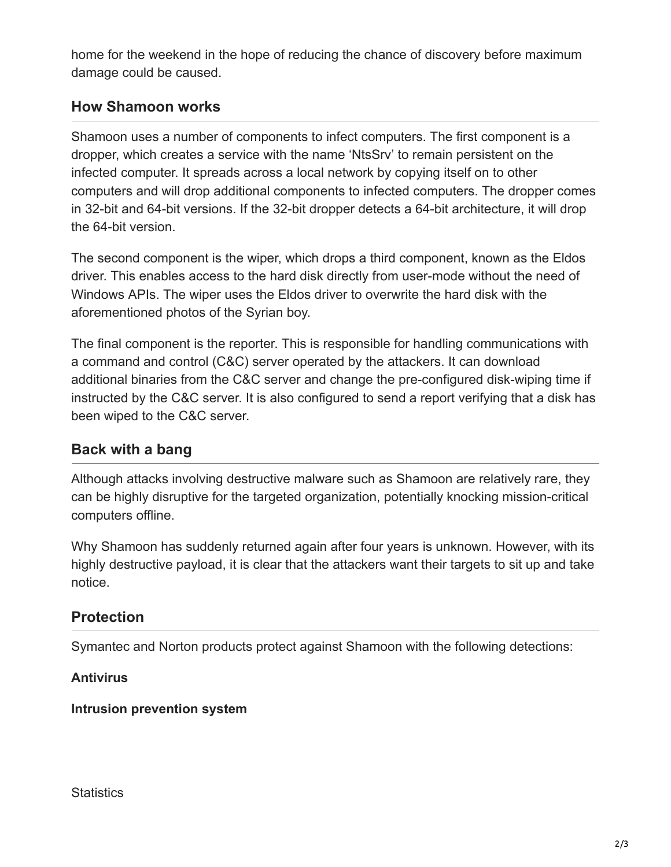home for the weekend in the hope of reducing the chance of discovery before maximum damage could be caused.

### **How Shamoon works**

Shamoon uses a number of components to infect computers. The first component is a dropper, which creates a service with the name 'NtsSrv' to remain persistent on the infected computer. It spreads across a local network by copying itself on to other computers and will drop additional components to infected computers. The dropper comes in 32-bit and 64-bit versions. If the 32-bit dropper detects a 64-bit architecture, it will drop the 64-bit version.

The second component is the wiper, which drops a third component, known as the Eldos driver. This enables access to the hard disk directly from user-mode without the need of Windows APIs. The wiper uses the Eldos driver to overwrite the hard disk with the aforementioned photos of the Syrian boy.

The final component is the reporter. This is responsible for handling communications with a command and control (C&C) server operated by the attackers. It can download additional binaries from the C&C server and change the pre-configured disk-wiping time if instructed by the C&C server. It is also configured to send a report verifying that a disk has been wiped to the C&C server.

### **Back with a bang**

Although attacks involving destructive malware such as Shamoon are relatively rare, they can be highly disruptive for the targeted organization, potentially knocking mission-critical computers offline.

Why Shamoon has suddenly returned again after four years is unknown. However, with its highly destructive payload, it is clear that the attackers want their targets to sit up and take notice.

#### **Protection**

Symantec and Norton products protect against Shamoon with the following detections:

**Antivirus**

**Intrusion prevention system**